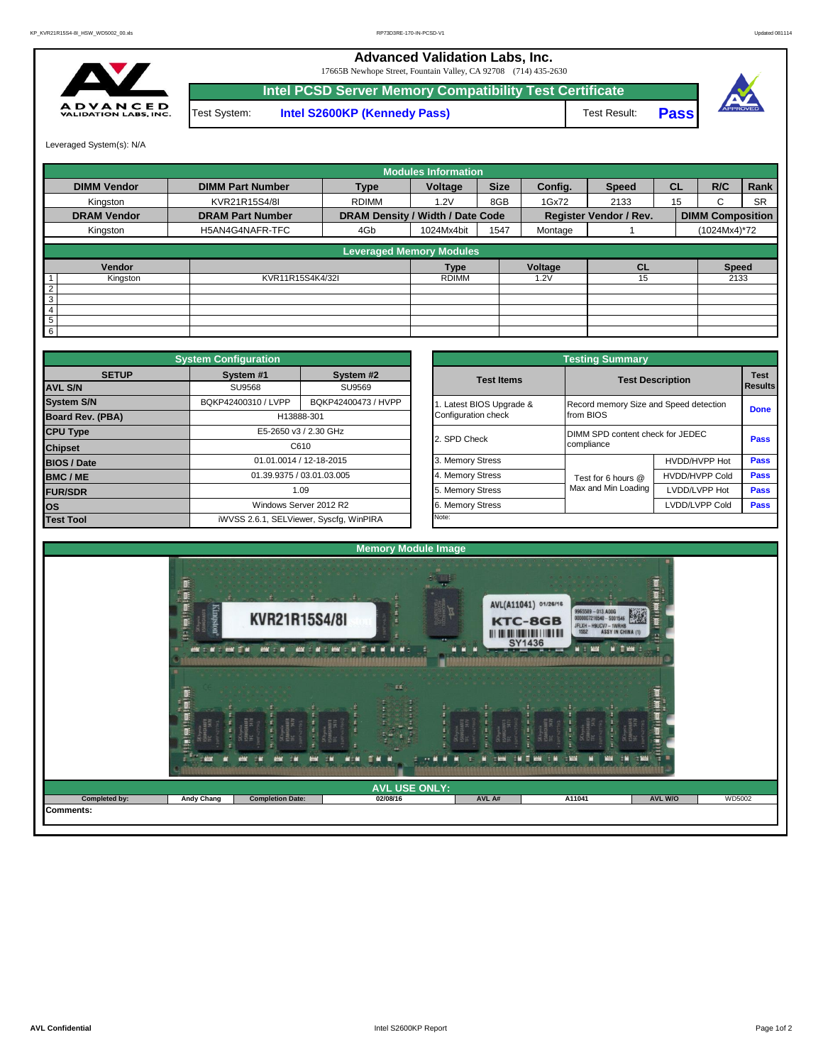## **Advanced Validation Labs, Inc.**

17665B Newhope Street, Fountain Valley, CA 92708 (714) 435-2630



Test System: **Intel S2600KP (Kennedy Pass)** Test Result: **Intel PCSD Server Memory Compatibility Test Certificate**





Leveraged System(s): N/A

|                    |                         |                                  | <b>Modules Information</b> |      |         |                               |           |                         |           |
|--------------------|-------------------------|----------------------------------|----------------------------|------|---------|-------------------------------|-----------|-------------------------|-----------|
| <b>DIMM Vendor</b> | <b>DIMM Part Number</b> | <b>Type</b>                      | <b>Size</b><br>Voltage     |      | Config. | <b>Speed</b>                  | <b>CL</b> | R/C                     | Rank      |
| Kingston           | KVR21R15S4/8I           | <b>RDIMM</b>                     | 8GB<br>1.2V                |      | 1Gx72   | 2133                          | 15        | C.                      | <b>SR</b> |
| <b>DRAM Vendor</b> | <b>DRAM Part Number</b> | DRAM Density / Width / Date Code |                            |      |         | <b>Register Vendor / Rev.</b> |           | <b>DIMM Composition</b> |           |
| Kingston           | H5AN4G4NAFR-TFC         | 4Gb                              | 1024Mx4bit                 | 1547 | Montage |                               |           | (1024Mx4)*72            |           |
|                    |                         | <b>Leveraged Memory Modules</b>  |                            |      |         |                               |           |                         |           |
| Vendor             |                         |                                  |                            |      | Voltage | <b>CL</b>                     |           | <b>Speed</b>            |           |
| Kingston           | KVR11R15S4K4/32I        |                                  | <b>RDIMM</b>               |      | .2V     | 15                            |           | 2133                    |           |
| $\overline{2}$     |                         |                                  |                            |      |         |                               |           |                         |           |
| 3                  |                         |                                  |                            |      |         |                               |           |                         |           |
| 4                  |                         |                                  |                            |      |         |                               |           |                         |           |
| 5                  |                         |                                  |                            |      |         |                               |           |                         |           |
| 6                  |                         |                                  |                            |      |         |                               |           |                         |           |

|                         | <b>System Configuration</b> |                                         |                  |                       | <b>Testing Summary</b>                 |                         |             |  |  |  |
|-------------------------|-----------------------------|-----------------------------------------|------------------|-----------------------|----------------------------------------|-------------------------|-------------|--|--|--|
| <b>SETUP</b>            | System #1                   | System #2                               |                  | <b>Test Items</b>     |                                        | <b>Test Description</b> |             |  |  |  |
| <b>AVL S/N</b>          | SU9568                      | SU9569                                  |                  |                       |                                        |                         |             |  |  |  |
| <b>System S/N</b>       | BQKP42400310 / LVPP         | BQKP42400473 / HVPP                     |                  | Latest BIOS Upgrade & | Record memory Size and Speed detection |                         | <b>Done</b> |  |  |  |
| <b>Board Rev. (PBA)</b> |                             | H13888-301                              |                  | Configuration check   | from BIOS                              |                         |             |  |  |  |
| <b>CPU Type</b>         | E5-2650 v3 / 2.30 GHz       |                                         |                  |                       | DIMM SPD content check for JEDEC       |                         |             |  |  |  |
| C610<br><b>Chipset</b>  |                             |                                         |                  | 2. SPD Check          | compliance                             |                         |             |  |  |  |
| <b>BIOS / Date</b>      |                             | 01.01.0014 / 12-18-2015                 |                  | 3. Memory Stress      |                                        | HVDD/HVPP Hot           | <b>Pass</b> |  |  |  |
| <b>BMC/ME</b>           |                             | 01.39.9375 / 03.01.03.005               |                  | 4. Memory Stress      | Test for 6 hours @                     | <b>HVDD/HVPP Cold</b>   | <b>Pass</b> |  |  |  |
| <b>FUR/SDR</b>          | 1.09                        |                                         | 5. Memory Stress | Max and Min Loading   | LVDD/LVPP Hot                          | <b>Pass</b>             |             |  |  |  |
| <b>los</b>              |                             | Windows Server 2012 R2                  |                  | 6. Memory Stress      |                                        | LVDD/LVPP Cold          | Pass        |  |  |  |
| <b>Test Tool</b>        |                             | iWVSS 2.6.1, SELViewer, Syscfq, WinPIRA |                  | Note:                 |                                        |                         |             |  |  |  |

|              | <b>System Configuration</b> |                                         |                            | <b>Testing Summary</b>           |                                        |                                                                             |  |  |  |  |
|--------------|-----------------------------|-----------------------------------------|----------------------------|----------------------------------|----------------------------------------|-----------------------------------------------------------------------------|--|--|--|--|
| <b>SETUP</b> | System #1                   | System #2                               | <b>Test Items</b>          | <b>Test Description</b>          |                                        |                                                                             |  |  |  |  |
|              | <b>SU9568</b>               | SU9569                                  |                            |                                  |                                        | <b>Test</b><br><b>Results</b><br><b>Done</b><br><b>Pass</b><br>Pass<br>Pass |  |  |  |  |
|              | BQKP42400310 / LVPP         | BQKP42400473 / HVPP                     | Latest BIOS Upgrade &      |                                  | Record memory Size and Speed detection |                                                                             |  |  |  |  |
| PBA)         |                             | H13888-301                              | Configuration check        | from BIOS                        |                                        |                                                                             |  |  |  |  |
|              |                             | E5-2650 v3 / 2.30 GHz                   |                            | DIMM SPD content check for JEDEC |                                        |                                                                             |  |  |  |  |
|              |                             | C610                                    | 2. SPD Check<br>compliance |                                  |                                        |                                                                             |  |  |  |  |
|              | 01.01.0014 / 12-18-2015     |                                         | 3. Memory Stress           |                                  | HVDD/HVPP Hot                          | Pass                                                                        |  |  |  |  |
|              |                             | 01.39.9375 / 03.01.03.005               | 4. Memory Stress           | Test for 6 hours @               | <b>HVDD/HVPP Cold</b>                  | Pass                                                                        |  |  |  |  |
|              |                             | 1.09                                    | 5. Memory Stress           | Max and Min Loading              | LVDD/LVPP Hot                          |                                                                             |  |  |  |  |
|              |                             | Windows Server 2012 R2                  | 6. Memory Stress           |                                  | LVDD/LVPP Cold                         |                                                                             |  |  |  |  |
|              |                             | iWVSS 2.6.1, SELViewer, Syscfq, WinPIRA | Note:                      |                                  |                                        |                                                                             |  |  |  |  |